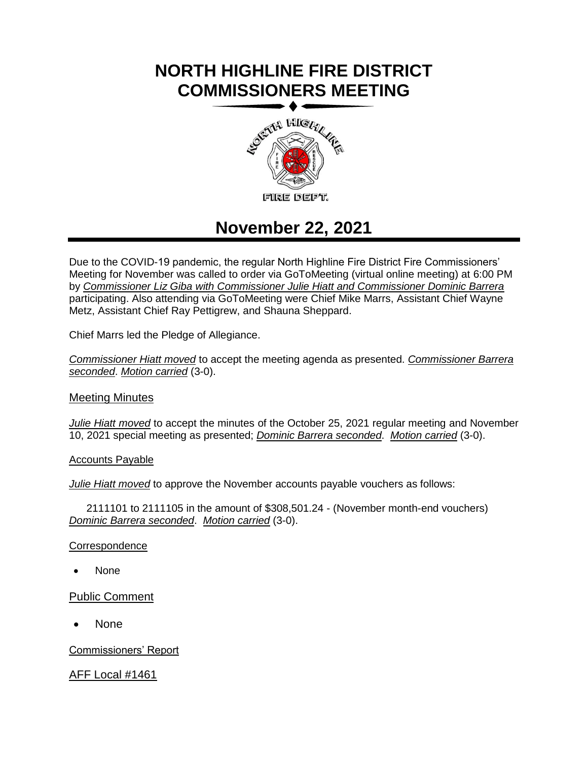# **NORTH HIGHLINE FIRE DISTRICT COMMISSIONERS MEETING**



## **November 22, 2021**

Due to the COVID-19 pandemic, the regular North Highline Fire District Fire Commissioners' Meeting for November was called to order via GoToMeeting (virtual online meeting) at 6:00 PM by *Commissioner Liz Giba with Commissioner Julie Hiatt and Commissioner Dominic Barrera* participating. Also attending via GoToMeeting were Chief Mike Marrs, Assistant Chief Wayne Metz, Assistant Chief Ray Pettigrew, and Shauna Sheppard.

Chief Marrs led the Pledge of Allegiance.

*Commissioner Hiatt moved* to accept the meeting agenda as presented. *Commissioner Barrera seconded*. *Motion carried* (3-0).

### Meeting Minutes

*Julie Hiatt moved* to accept the minutes of the October 25, 2021 regular meeting and November 10, 2021 special meeting as presented; *Dominic Barrera seconded*. *Motion carried* (3-0).

Accounts Payable

*Julie Hiatt moved* to approve the November accounts payable vouchers as follows:

2111101 to 2111105 in the amount of \$308,501.24 - (November month-end vouchers) *Dominic Barrera seconded*. *Motion carried* (3-0).

**Correspondence** 

• None

Public Comment

• None

Commissioners' Report

AFF Local #1461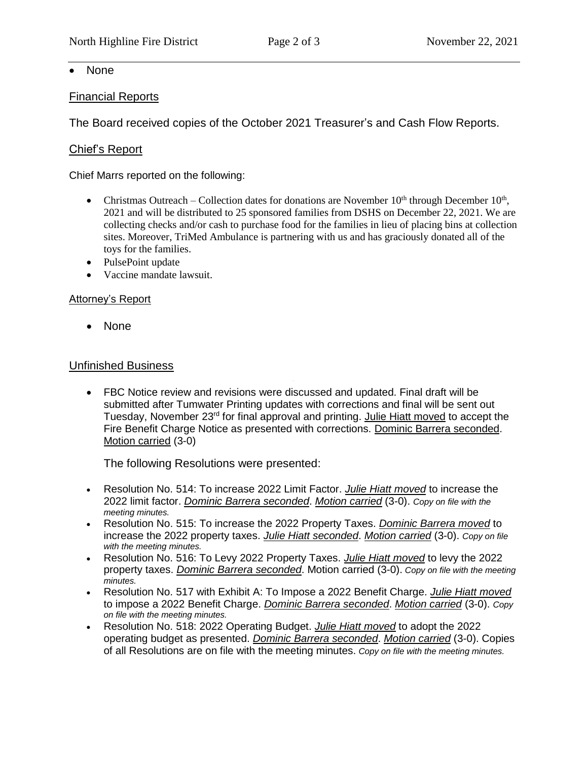• None

## Financial Reports

The Board received copies of the October 2021 Treasurer's and Cash Flow Reports.

## Chief's Report

Chief Marrs reported on the following:

- Christmas Outreach Collection dates for donations are November  $10<sup>th</sup>$  through December  $10<sup>th</sup>$ , 2021 and will be distributed to 25 sponsored families from DSHS on December 22, 2021. We are collecting checks and/or cash to purchase food for the families in lieu of placing bins at collection sites. Moreover, TriMed Ambulance is partnering with us and has graciously donated all of the toys for the families.
- PulsePoint update
- Vaccine mandate lawsuit.

## Attorney's Report

• None

## Unfinished Business

• FBC Notice review and revisions were discussed and updated. Final draft will be submitted after Tumwater Printing updates with corrections and final will be sent out Tuesday, November 23<sup>rd</sup> for final approval and printing. Julie Hiatt moved to accept the Fire Benefit Charge Notice as presented with corrections. Dominic Barrera seconded. Motion carried (3-0)

The following Resolutions were presented:

- Resolution No. 514: To increase 2022 Limit Factor. *Julie Hiatt moved* to increase the 2022 limit factor. *Dominic Barrera seconded*. *Motion carried* (3-0). *Copy on file with the meeting minutes.*
- Resolution No. 515: To increase the 2022 Property Taxes. *Dominic Barrera moved* to increase the 2022 property taxes. *Julie Hiatt seconded*. *Motion carried* (3-0). *Copy on file with the meeting minutes.*
- Resolution No. 516: To Levy 2022 Property Taxes. *Julie Hiatt moved* to levy the 2022 property taxes. *Dominic Barrera seconded*. Motion carried (3-0). *Copy on file with the meeting minutes.*
- Resolution No. 517 with Exhibit A: To Impose a 2022 Benefit Charge. *Julie Hiatt moved* to impose a 2022 Benefit Charge. *Dominic Barrera seconded*. *Motion carried* (3-0). *Copy on file with the meeting minutes.*
- Resolution No. 518: 2022 Operating Budget. *Julie Hiatt moved* to adopt the 2022 operating budget as presented. *Dominic Barrera seconded*. *Motion carried* (3-0). Copies of all Resolutions are on file with the meeting minutes. *Copy on file with the meeting minutes.*